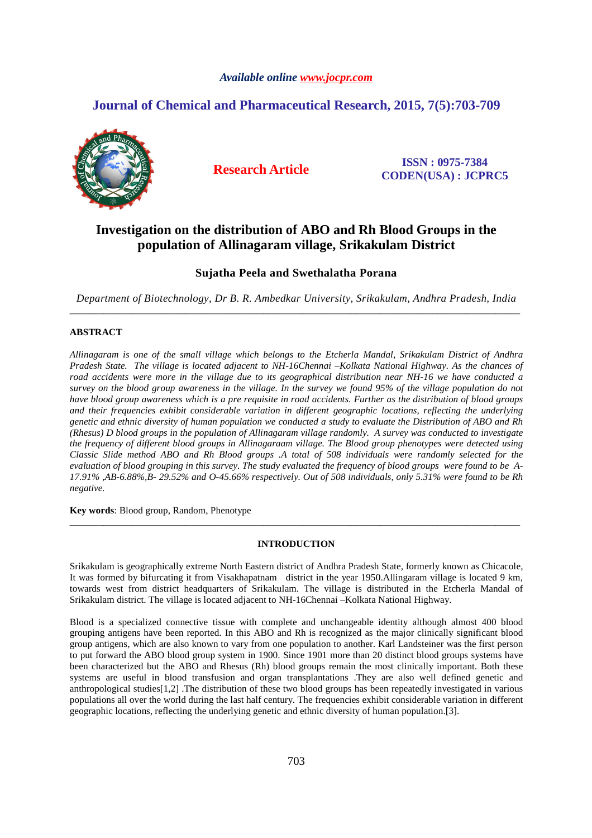## *Available online www.jocpr.com*

# **Journal of Chemical and Pharmaceutical Research, 2015, 7(5):703-709**



**Research Article ISSN : 0975-7384 CODEN(USA) : JCPRC5**

# **Investigation on the distribution of ABO and Rh Blood Groups in the population of Allinagaram village, Srikakulam District**

# **Sujatha Peela and Swethalatha Porana**

*Department of Biotechnology, Dr B. R. Ambedkar University, Srikakulam, Andhra Pradesh, India*  \_\_\_\_\_\_\_\_\_\_\_\_\_\_\_\_\_\_\_\_\_\_\_\_\_\_\_\_\_\_\_\_\_\_\_\_\_\_\_\_\_\_\_\_\_\_\_\_\_\_\_\_\_\_\_\_\_\_\_\_\_\_\_\_\_\_\_\_\_\_\_\_\_\_\_\_\_\_\_\_\_\_\_\_\_\_\_\_\_\_\_\_\_

## **ABSTRACT**

*Allinagaram is one of the small village which belongs to the Etcherla Mandal, Srikakulam District of Andhra Pradesh State. The village is located adjacent to NH-16Chennai –Kolkata National Highway. As the chances of road accidents were more in the village due to its geographical distribution near NH-16 we have conducted a survey on the blood group awareness in the village. In the survey we found 95% of the village population do not have blood group awareness which is a pre requisite in road accidents. Further as the distribution of blood groups and their frequencies exhibit considerable variation in different geographic locations, reflecting the underlying genetic and ethnic diversity of human population we conducted a study to evaluate the Distribution of ABO and Rh (Rhesus) D blood groups in the population of Allinagaram village randomly. A survey was conducted to investigate the frequency of different blood groups in Allinagaraam village. The Blood group phenotypes were detected using Classic Slide method ABO and Rh Blood groups .A total of 508 individuals were randomly selected for the evaluation of blood grouping in this survey. The study evaluated the frequency of blood groups were found to be A-17.91% ,AB-6.88%,B- 29.52% and O-45.66% respectively. Out of 508 individuals, only 5.31% were found to be Rh negative.* 

**Key words**: Blood group, Random, Phenotype

### **INTRODUCTION**

\_\_\_\_\_\_\_\_\_\_\_\_\_\_\_\_\_\_\_\_\_\_\_\_\_\_\_\_\_\_\_\_\_\_\_\_\_\_\_\_\_\_\_\_\_\_\_\_\_\_\_\_\_\_\_\_\_\_\_\_\_\_\_\_\_\_\_\_\_\_\_\_\_\_\_\_\_\_\_\_\_\_\_\_\_\_\_\_\_\_\_\_\_

Srikakulam is geographically extreme North Eastern district of Andhra Pradesh State, formerly known as Chicacole, It was formed by bifurcating it from Visakhapatnam district in the year 1950.Allingaram village is located 9 km, towards west from district headquarters of Srikakulam. The village is distributed in the Etcherla Mandal of Srikakulam district. The village is located adjacent to NH-16Chennai –Kolkata National Highway.

Blood is a specialized connective tissue with complete and unchangeable identity although almost 400 blood grouping antigens have been reported. In this ABO and Rh is recognized as the major clinically significant blood group antigens, which are also known to vary from one population to another. Karl Landsteiner was the first person to put forward the ABO blood group system in 1900. Since 1901 more than 20 distinct blood groups systems have been characterized but the ABO and Rhesus (Rh) blood groups remain the most clinically important. Both these systems are useful in blood transfusion and organ transplantations .They are also well defined genetic and anthropological studies[1,2] .The distribution of these two blood groups has been repeatedly investigated in various populations all over the world during the last half century. The frequencies exhibit considerable variation in different geographic locations, reflecting the underlying genetic and ethnic diversity of human population.[3].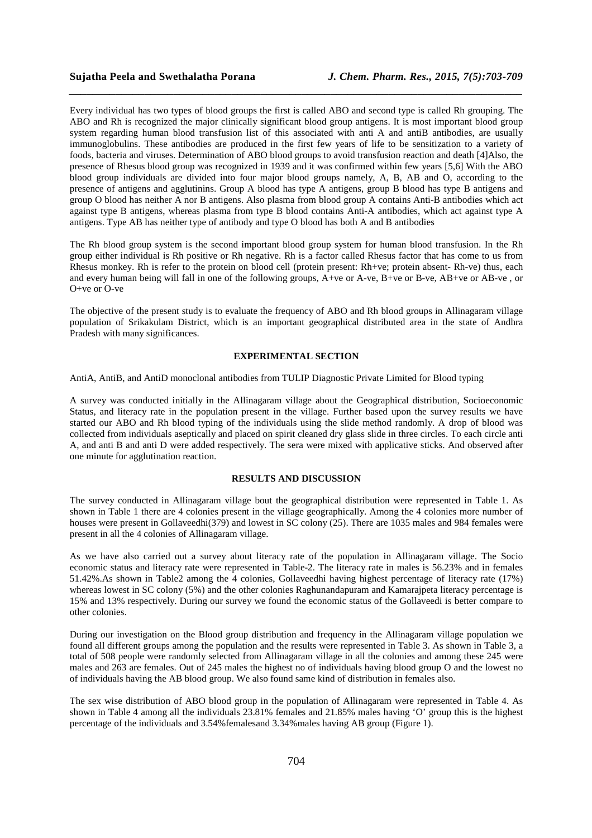Every individual has two types of blood groups the first is called ABO and second type is called Rh grouping. The ABO and Rh is recognized the major clinically significant blood group antigens. It is most important blood group system regarding human blood transfusion list of this associated with anti A and antiB antibodies, are usually immunoglobulins. These antibodies are produced in the first few years of life to be sensitization to a variety of foods, bacteria and viruses. Determination of ABO blood groups to avoid transfusion reaction and death [4]Also, the presence of Rhesus blood group was recognized in 1939 and it was confirmed within few years [5,6] With the ABO blood group individuals are divided into four major blood groups namely, A, B, AB and O, according to the presence of antigens and agglutinins. Group A blood has type A antigens, group B blood has type B antigens and group O blood has neither A nor B antigens. Also plasma from blood group A contains Anti-B antibodies which act against type B antigens, whereas plasma from type B blood contains Anti-A antibodies, which act against type A antigens. Type AB has neither type of antibody and type O blood has both A and B antibodies

*\_\_\_\_\_\_\_\_\_\_\_\_\_\_\_\_\_\_\_\_\_\_\_\_\_\_\_\_\_\_\_\_\_\_\_\_\_\_\_\_\_\_\_\_\_\_\_\_\_\_\_\_\_\_\_\_\_\_\_\_\_\_\_\_\_\_\_\_\_\_\_\_\_\_\_\_\_\_*

The Rh blood group system is the second important blood group system for human blood transfusion. In the Rh group either individual is Rh positive or Rh negative. Rh is a factor called Rhesus factor that has come to us from Rhesus monkey. Rh is refer to the protein on blood cell (protein present: Rh+ve; protein absent- Rh-ve) thus, each and every human being will fall in one of the following groups, A+ve or A-ve, B+ve or B-ve, AB+ve or AB-ve , or O+ve or O-ve

The objective of the present study is to evaluate the frequency of ABO and Rh blood groups in Allinagaram village population of Srikakulam District, which is an important geographical distributed area in the state of Andhra Pradesh with many significances.

#### **EXPERIMENTAL SECTION**

AntiA, AntiB, and AntiD monoclonal antibodies from TULIP Diagnostic Private Limited for Blood typing

A survey was conducted initially in the Allinagaram village about the Geographical distribution, Socioeconomic Status, and literacy rate in the population present in the village. Further based upon the survey results we have started our ABO and Rh blood typing of the individuals using the slide method randomly. A drop of blood was collected from individuals aseptically and placed on spirit cleaned dry glass slide in three circles. To each circle anti A, and anti B and anti D were added respectively. The sera were mixed with applicative sticks. And observed after one minute for agglutination reaction.

#### **RESULTS AND DISCUSSION**

The survey conducted in Allinagaram village bout the geographical distribution were represented in Table 1. As shown in Table 1 there are 4 colonies present in the village geographically. Among the 4 colonies more number of houses were present in Gollaveedhi(379) and lowest in SC colony (25). There are 1035 males and 984 females were present in all the 4 colonies of Allinagaram village.

As we have also carried out a survey about literacy rate of the population in Allinagaram village. The Socio economic status and literacy rate were represented in Table-2. The literacy rate in males is 56.23% and in females 51.42%.As shown in Table2 among the 4 colonies, Gollaveedhi having highest percentage of literacy rate (17%) whereas lowest in SC colony (5%) and the other colonies Raghunandapuram and Kamarajpeta literacy percentage is 15% and 13% respectively. During our survey we found the economic status of the Gollaveedi is better compare to other colonies.

During our investigation on the Blood group distribution and frequency in the Allinagaram village population we found all different groups among the population and the results were represented in Table 3. As shown in Table 3, a total of 508 people were randomly selected from Allinagaram village in all the colonies and among these 245 were males and 263 are females. Out of 245 males the highest no of individuals having blood group O and the lowest no of individuals having the AB blood group. We also found same kind of distribution in females also.

The sex wise distribution of ABO blood group in the population of Allinagaram were represented in Table 4. As shown in Table 4 among all the individuals 23.81% females and 21.85% males having 'O' group this is the highest percentage of the individuals and 3.54%femalesand 3.34%males having AB group (Figure 1).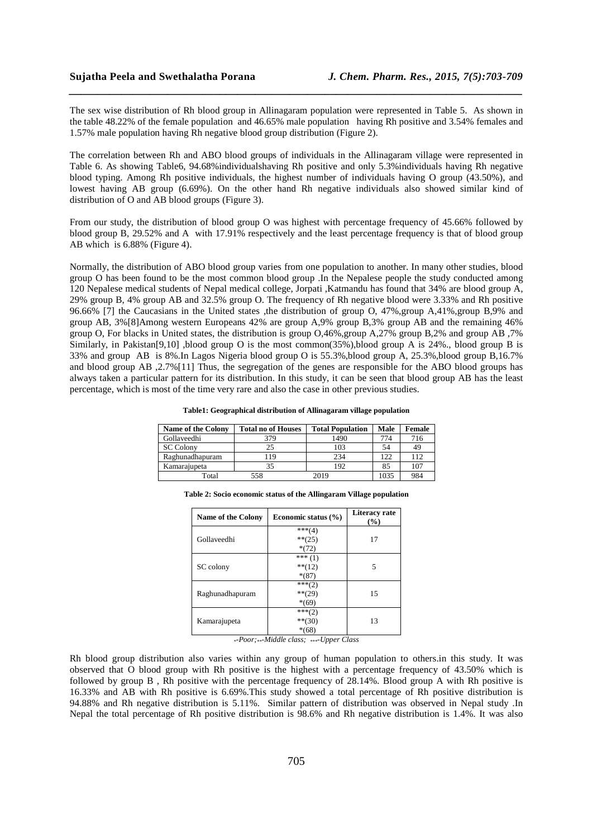The sex wise distribution of Rh blood group in Allinagaram population were represented in Table 5. As shown in the table 48.22% of the female population and 46.65% male population having Rh positive and 3.54% females and 1.57% male population having Rh negative blood group distribution (Figure 2).

*\_\_\_\_\_\_\_\_\_\_\_\_\_\_\_\_\_\_\_\_\_\_\_\_\_\_\_\_\_\_\_\_\_\_\_\_\_\_\_\_\_\_\_\_\_\_\_\_\_\_\_\_\_\_\_\_\_\_\_\_\_\_\_\_\_\_\_\_\_\_\_\_\_\_\_\_\_\_*

The correlation between Rh and ABO blood groups of individuals in the Allinagaram village were represented in Table 6. As showing Table6, 94.68%individualshaving Rh positive and only 5.3%individuals having Rh negative blood typing. Among Rh positive individuals, the highest number of individuals having O group (43.50%), and lowest having AB group (6.69%). On the other hand Rh negative individuals also showed similar kind of distribution of O and AB blood groups (Figure 3).

From our study, the distribution of blood group O was highest with percentage frequency of 45.66% followed by blood group B, 29.52% and A with 17.91% respectively and the least percentage frequency is that of blood group AB which is 6.88% (Figure 4).

Normally, the distribution of ABO blood group varies from one population to another. In many other studies, blood group O has been found to be the most common blood group .In the Nepalese people the study conducted among 120 Nepalese medical students of Nepal medical college, Jorpati ,Katmandu has found that 34% are blood group A, 29% group B, 4% group AB and 32.5% group O. The frequency of Rh negative blood were 3.33% and Rh positive 96.66% [7] the Caucasians in the United states ,the distribution of group O, 47%,group A,41%,group B,9% and group AB, 3%[8]Among western Europeans 42% are group A,9% group B,3% group AB and the remaining 46% group O, For blacks in United states, the distribution is group O,46%,group A,27% group B,2% and group AB ,7% Similarly, in Pakistan[9,10] ,blood group O is the most common(35%),blood group A is 24%., blood group B is 33% and group AB is 8%.In Lagos Nigeria blood group O is 55.3%,blood group A, 25.3%,blood group B,16.7% and blood group AB ,2.7%[11] Thus, the segregation of the genes are responsible for the ABO blood groups has always taken a particular pattern for its distribution. In this study, it can be seen that blood group AB has the least percentage, which is most of the time very rare and also the case in other previous studies.

| <b>Name of the Colony</b> | <b>Total no of Houses</b> | <b>Total Population</b> | Male | Female |
|---------------------------|---------------------------|-------------------------|------|--------|
| Gollaveedhi               | 379                       | 1490                    | 774  | 716    |
| <b>SC</b> Colony          | 25                        | 103                     | 54   | 49     |
| Raghunadhapuram           | 119                       | 234                     | 122  | 112    |
| Kamarajupeta              | 35                        | 192                     | 85   | 107    |
| Total                     | 558                       | 2019                    | 1035 | 984    |

| <b>Name of the Colony</b> | Economic status $(\% )$ | Literacy rate<br>$($ %) |
|---------------------------|-------------------------|-------------------------|
|                           | $***(4)$                |                         |
| Gollaveedhi               | $***(25)$               | 17                      |
|                           | $*(72)$                 |                         |
|                           | *** $(1)$               |                         |
| SC colony                 | $**(12)$                | 5                       |
|                           | $*(87)$                 |                         |
|                           | $***(2)$                |                         |
| Raghunadhapuram           | $***(29)$               | 15                      |
|                           | $*(69)$                 |                         |
|                           | $***(2)$                |                         |
| Kamarajupeta              | $**$ (30)               | 13                      |
|                           | $*(68)$                 |                         |

**Table 2: Socio economic status of the Allingaram Village population** 

*\*-Poor;\*\*-Middle class; \*\*\*-Upper Class* 

Rh blood group distribution also varies within any group of human population to others.in this study. It was observed that O blood group with Rh positive is the highest with a percentage frequency of 43.50% which is followed by group B , Rh positive with the percentage frequency of 28.14%. Blood group A with Rh positive is 16.33% and AB with Rh positive is 6.69%.This study showed a total percentage of Rh positive distribution is 94.88% and Rh negative distribution is 5.11%. Similar pattern of distribution was observed in Nepal study .In Nepal the total percentage of Rh positive distribution is 98.6% and Rh negative distribution is 1.4%. It was also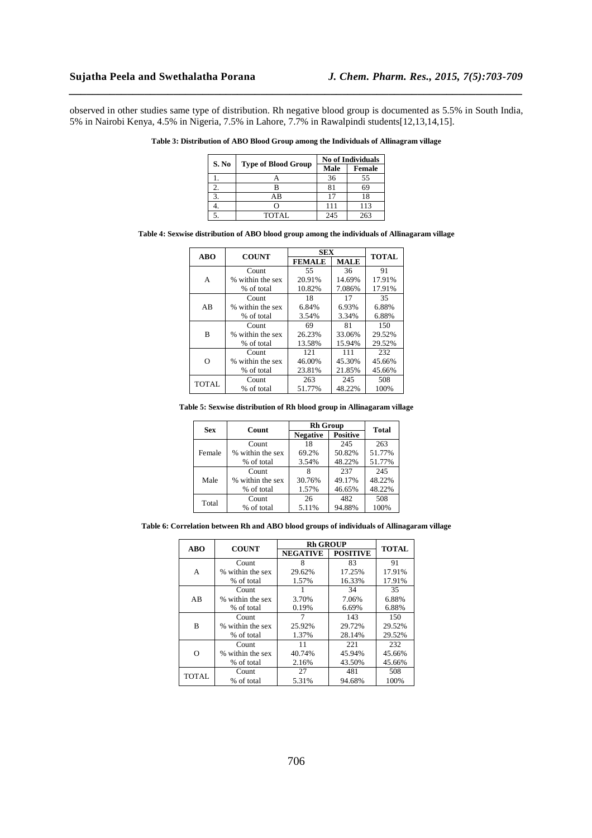observed in other studies same type of distribution. Rh negative blood group is documented as 5.5% in South India, 5% in Nairobi Kenya, 4.5% in Nigeria, 7.5% in Lahore, 7.7% in Rawalpindi students[12,13,14,15].

*\_\_\_\_\_\_\_\_\_\_\_\_\_\_\_\_\_\_\_\_\_\_\_\_\_\_\_\_\_\_\_\_\_\_\_\_\_\_\_\_\_\_\_\_\_\_\_\_\_\_\_\_\_\_\_\_\_\_\_\_\_\_\_\_\_\_\_\_\_\_\_\_\_\_\_\_\_\_*

| S. No | <b>Type of Blood Group</b> | <b>No of Individuals</b> |               |  |
|-------|----------------------------|--------------------------|---------------|--|
|       |                            | Male                     | <b>Female</b> |  |
|       |                            | 36                       | 55            |  |
|       |                            | 81                       | 69            |  |
|       | ΑB                         | 17                       | 18            |  |
|       |                            | 111                      | 113           |  |
|       | TOTAL                      | 245                      | 263           |  |

**Table 3: Distribution of ABO Blood Group among the Individuals of Allinagram village** 

**Table 4: Sexwise distribution of ABO blood group among the individuals of Allinagaram village** 

| <b>ABO</b> | <b>COUNT</b>     | <b>SEX</b>    |             | <b>TOTAL</b> |
|------------|------------------|---------------|-------------|--------------|
|            |                  | <b>FEMALE</b> | <b>MALE</b> |              |
|            | Count            | 55            | 36          | 91           |
| А          | % within the sex | 20.91%        | 14.69%      | 17.91%       |
|            | % of total       | 10.82%        | 7.086%      | 17.91%       |
| AB         | Count            | 18            | 17          | 35           |
|            | % within the sex | 6.84%         | 6.93%       | 6.88%        |
|            | % of total       | 3.54%         | 3.34%       | 6.88%        |
| B          | Count            | 69            | 81          | 150          |
|            | % within the sex | 26.23%        | 33.06%      | 29.52%       |
|            | % of total       | 13.58%        | 15.94%      | 29.52%       |
| റ          | Count            | 121           | 111         | 232          |
|            | % within the sex | 46.00%        | 45.30%      | 45.66%       |
|            | % of total       | 23.81%        | 21.85%      | 45.66%       |
| TOTAL      | Count            | 263           | 245         | 508          |
|            | % of total       | 51.77%        | 48.22%      | 100%         |

#### **Table 5: Sexwise distribution of Rh blood group in Allinagaram village**

| Sex    | Count            | <b>Rh Group</b> |                 | Total  |
|--------|------------------|-----------------|-----------------|--------|
|        |                  | <b>Negative</b> | <b>Positive</b> |        |
| Female | Count            | 18              | 245             | 263    |
|        | % within the sex | 69.2%           | 50.82%          | 51.77% |
|        | % of total       | 3.54%           | 48.22%          | 51.77% |
| Male   | Count            |                 | 237             | 245    |
|        | % within the sex | 30.76%          | 49.17%          | 48.22% |
|        | % of total       | 1.57%           | 46.65%          | 48.22% |
| Total  | Count            | 26              | 482             | 508    |
|        | % of total       | 5.11%           | 94.88%          | 100%   |

**Table 6: Correlation between Rh and ABO blood groups of individuals of Allinagaram village** 

| <b>ABO</b>   | <b>COUNT</b>     | <b>Rh GROUP</b> |                 | <b>TOTAL</b> |
|--------------|------------------|-----------------|-----------------|--------------|
|              |                  | <b>NEGATIVE</b> | <b>POSITIVE</b> |              |
|              | Count            | 8               | 83              | 91           |
| A            | % within the sex | 29.62%          | 17.25%          | 17.91%       |
|              | % of total       | 1.57%           | 16.33%          | 17.91%       |
| AB           | Count            |                 | 34              | 35           |
|              | % within the sex | 3.70%           | 7.06%           | 6.88%        |
|              | % of total       | 0.19%           | 6.69%           | 6.88%        |
| B            | Count            | 7               | 143             | 150          |
|              | % within the sex | 25.92%          | 29.72%          | 29.52%       |
|              | % of total       | 1.37%           | 28.14%          | 29.52%       |
| O            | Count            | 11              | 221             | 232          |
|              | % within the sex | 40.74%          | 45.94%          | 45.66%       |
|              | % of total       | 2.16%           | 43.50%          | 45.66%       |
| <b>TOTAL</b> | Count            | 27              | 481             | 508          |
|              | % of total       | 5.31%           | 94.68%          | 100%         |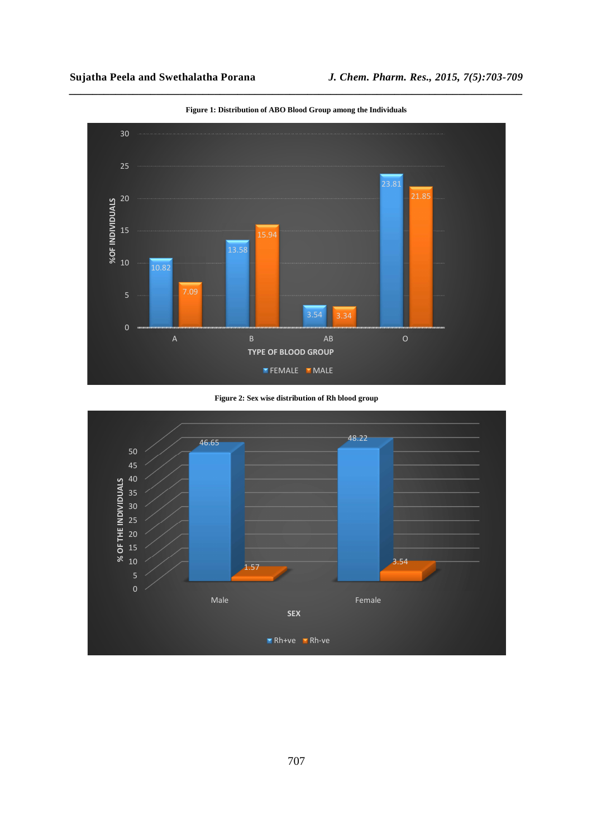

**Figure 1: Distribution of ABO Blood Group among the Individuals** 

*\_\_\_\_\_\_\_\_\_\_\_\_\_\_\_\_\_\_\_\_\_\_\_\_\_\_\_\_\_\_\_\_\_\_\_\_\_\_\_\_\_\_\_\_\_\_\_\_\_\_\_\_\_\_\_\_\_\_\_\_\_\_\_\_\_\_\_\_\_\_\_\_\_\_\_\_\_\_*

**Figure 2: Sex wise distribution of Rh blood group** 

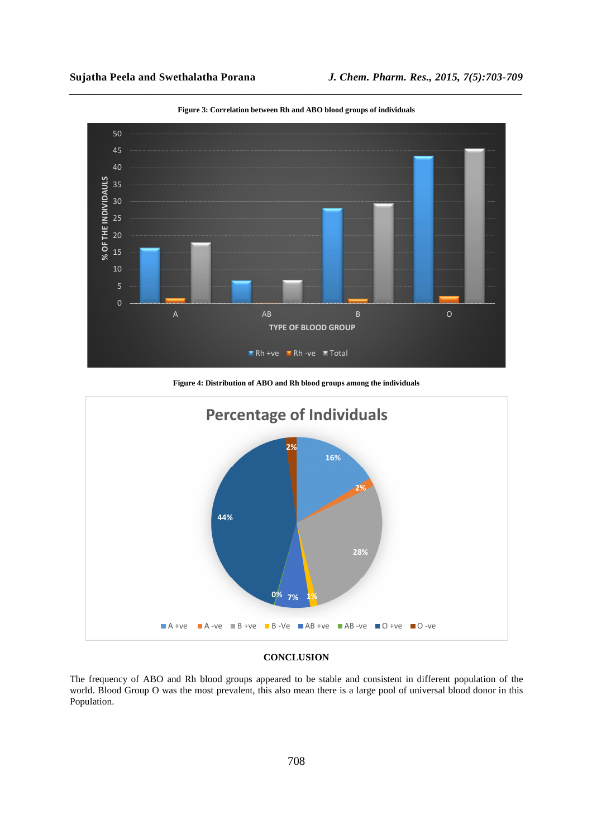

*\_\_\_\_\_\_\_\_\_\_\_\_\_\_\_\_\_\_\_\_\_\_\_\_\_\_\_\_\_\_\_\_\_\_\_\_\_\_\_\_\_\_\_\_\_\_\_\_\_\_\_\_\_\_\_\_\_\_\_\_\_\_\_\_\_\_\_\_\_\_\_\_\_\_\_\_\_\_* **Figure 3: Correlation between Rh and ABO blood groups of individuals** 

**Figure 4: Distribution of ABO and Rh blood groups among the individuals** 



#### **CONCLUSION**

The frequency of ABO and Rh blood groups appeared to be stable and consistent in different population of the world. Blood Group O was the most prevalent, this also mean there is a large pool of universal blood donor in this Population.